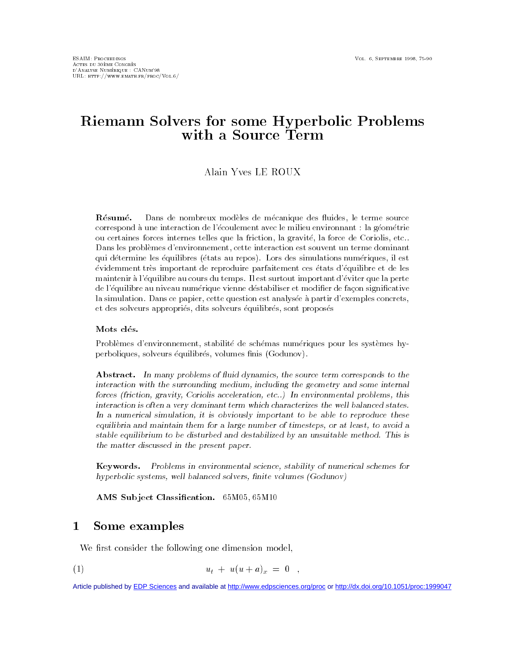# Riemann Solvers for some Hyperbolic Problems  $\cdots$  .  $\cdots$   $\sim$   $\sim$   $\cdots$   $\sim$   $\cdots$   $\sim$   $\cdots$   $\sim$   $\cdots$

## Alain Yves LE ROUX

Résumé. Dans de nombreux modeles de m-ecanique des uides le terme sourcecorrespond a une interaction de l'ecoulement avec le milieu environnant , la geometrie ou certaines forces internes telles que la friction. La gravite, la force de Coulons, etc... Dans les problèmes d'environnement, cette interaction est souvent un terme dominant au defermine les courintes terats au terver. Tots des simulations iruneriques. Il est evidemment tres important de reproduire pariamentement ces etats d'édumbre et de les maintenir a l-equilibre au cours du temps Il est surtout important d-eviter que la pertede l'equilibre au myeau numenque vienne destabiliser et modiner de facon significative la simulation. Dans ce dadier, cette question est analysee a daltil u exemples concrets. et des sorveurs appropries, quis sorveurs equilibres, sont proposes

### Mots clés.

Problemes denvironnement stabilit-e de sch-emas num-eriques pour les systemes hyperpondues, solveurs equilibres, volumes limis (Obduhov).

Abstract. In many problems of huid dynamics, the source term corresponds to the interaction with the surrounding medium- including the geometry and some internaliorces friction. Playity, Coriolis acceleration. Ctc. I in environmental problems, this interaction is often a very dominant term which characterizes the well balanced statesIn a numerical simulation- it is obviously important to be able to reproduce theseequilibria and maintain them by a large number of thinesteps. Of at least, by avoid a stable equilibrium to be disturbed and destabilized by an unsuitable method. This is the matter discussed in the present paper

Keywords. Problems in environmental science- stability of numerical schemes forkeywords-beneficient products and the second service of the service of the service of the service of the service hyperbolic systems- well balanced solvers- nite volumes Godunov

AMS Subject Classification. Compo, Compo

### $\mathbf 1$ Some examples

We first consider the following one dimension model,

(1) 
$$
u_t + u(u+a)_x = 0 ,
$$

Article published by [EDP Sciences](http://www.edpsciences.org) and available at<http://www.edpsciences.org/proc>or <http://dx.doi.org/10.1051/proc:1999047>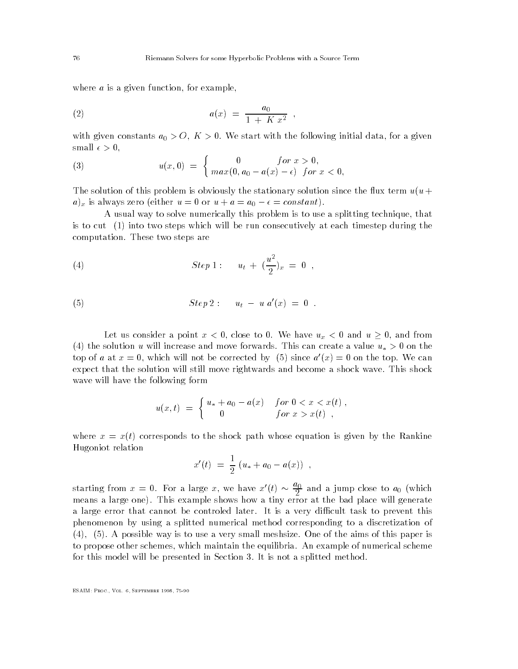where a is a given function-  $\mathbf{f}$  and  $\mathbf{f}$  are a function-  $\mathbf{f}$  and  $\mathbf{f}$ 

(2) 
$$
a(x) = \frac{a_0}{1 + K x^2},
$$

with given constants a constant of the following in the following initial datasmall of the small control of the small control of the small control of the small control of the small control of the small control of the small control of the small control of the small control of the small control of the

(3) 
$$
u(x,0) = \begin{cases} 0 & \text{for } x > 0, \\ max(0, a_0 - a(x) - \epsilon) & \text{for } x < 0, \end{cases}
$$

The solution of this problem is obviously the stationary solution since the flux term  $u(u +$ ax is always zero either use of the use  $\alpha$  and a a a a straight

A usual way to solve numerically this problem is to use a splitting technique- that is to cut  $(1)$  into two steps which will be run consecutively at each timestep during the computed to step are the steps are the steps are the steps are steps are the steps are steps are the steps of  $\sim$ 

(4) 
$$
Step 1: \quad u_t + \left(\frac{u^2}{2}\right)_x = 0
$$
,

(5) 
$$
Step\ 2: u_t - u_t^{(t)} = 0.
$$

Let us consider a point x and from the point who are and use to the constant and the constant of the constant o the solution u will increase and move forwards This can create a value u- - on the top of a at  $x = 0$ , which will not be corrected by (3) since  $a(x) = 0$  on the top. We can expect that the still move will still move rightwards and become a shock wave and become a shock wave wave will have the following form

$$
u(x,t) = \begin{cases} u_* + a_0 - a(x) & \text{for } 0 < x < x(t) ,\\ 0 & \text{for } x > x(t) , \end{cases}
$$

where  $x = x(t)$  corresponds to the shock path whose equation is given by the Rankine Hugoniot relation

$$
x'(t) = \frac{1}{2} (u_* + a_0 - a(x)) ,
$$

starting from  $x = 0$ . For a large x, we have  $x'(t) \sim \frac{9}{2}$  and a jump close to  $a_0$  (which means a large one This example shows how a tiny error at the bad place will generate a large error that cannot be controled later that cannot be controlled later that  $\mathbf{I}$ phenomenon by using a splitted numerical method corresponding to a discretization of , and the possible way is to use a very small meshsized and the aimst small meshs of the paper is to propose other schemes- which maintain the equipment of the example of numerical schemes and for this model will be presented in Section It is not a splitted method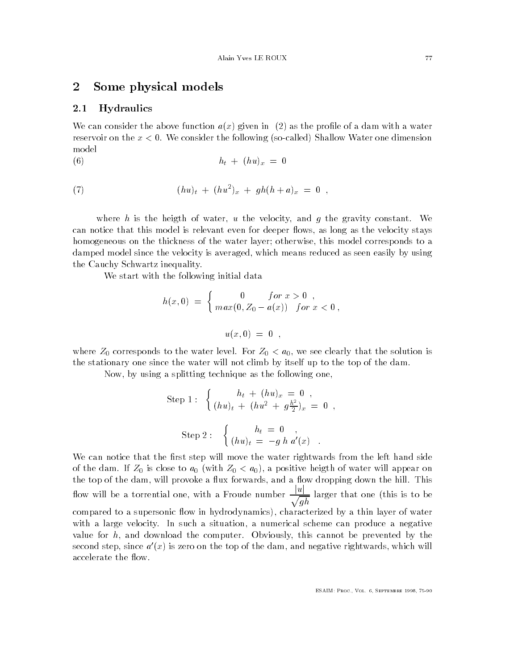### -Some physical models

#### $2.1$ **Hydraulics**

We can consider the above function  $a(x)$  given in (2) as the profile of a dam with a water reservoir on the x We consider the following socalled Shallow Water one dimension model

$$
(6) \qquad \qquad h_t + (hu)_x = 0
$$

(7) 
$$
(hu)_t + (hu^2)_x + gh(h+a)_x = 0,
$$

where he is the velocity-term of water-term and gravity constant of water-term and gravity constant of watercan notice that this model is relevant even for deep to moving the long the velocity stays as homogeneous on the thickness of the water layer otherwise- this model corresponds to a damped model since the velocity is averaged- which means reduced as seen easily by using the Cauchy Schwartz inequality

We start with the following initial data

$$
h(x,0) = \begin{cases} 0 & \text{for } x > 0, \\ max(0, Z_0 - a(x)) & \text{for } x < 0, \end{cases}
$$

$$
u(x,0) = 0 ,
$$

where  $\mathsf{v}$  is the water level of  $\mathsf{v}$  that the solution is the solution is the solution is the solution is the solution is the solution is the solution is that the solution is the solution is that the solution is t the stationary one since the water will not climb by itself up to the top of the dam

Now- by using a splitting technique as the following one-

Step 1: 
$$
\begin{cases} h_t + (hu)_x = 0 , \\ (hu)_t + (hu^2 + g\frac{h^2}{2})_x = 0 , \end{cases}
$$
  
Step 2: 
$$
\begin{cases} h_t = 0 , \\ (hu)_t = -g h a'(x) . \end{cases}
$$

We can notice that the first step will move the water rightwards from the left hand side of the dament of the damagers to a with  $\sigma$ the top of the damage will provide a mane containing down a forward provoking down the most of the state of th flow will be a torrential one, with a Froude number  $\frac{p-1}{p-1}$  larg general contracts of the contracts of the contracts of the contracts of the contracts of the contracts of the contracts of the contracts of the contracts of the contracts of the contracts of the contracts of the contracts larger that one this is to be compared to a supersonic mean one parametery in hydrodynamics-  $\alpha$  , water  $\alpha$  , we are  $\alpha$ with a such a situation-official scheme can produce a numerical scheme can produce a numerical scheme value for h- and download the computer Obviously- this cannot be prevented by the second step, since  $a \left( x \right)$  is zero on the top of the dam, and negative rightwards, which will accelerate the flow.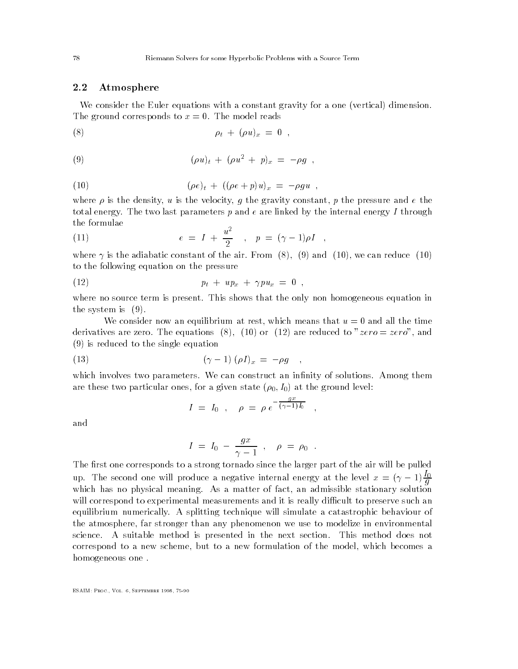#### 2.2 Atmosphere

We consider the Euler equations with a constant gravity for a one (vertical) dimension. The ground corresponds to  $\mathbb{F}_q$  and  $\mathbb{F}_q$  is a model reads to  $\mathbb{F}_q$  and  $\mathbb{F}_q$  and  $\mathbb{F}_q$  and  $\mathbb{F}_q$  and  $\mathbb{F}_q$  and  $\mathbb{F}_q$  and  $\mathbb{F}_q$  and  $\mathbb{F}_q$  and  $\mathbb{F}_q$  and  $\mathbb{F}_q$  and  $\mathbb{F}_q$  a

$$
\rho_t + (\rho u)_x = 0 ,
$$

(9) 
$$
(\rho u)_t + (\rho u^2 + p)_x = -\rho g ,
$$

(10) 
$$
(\rho e)_t + ((\rho e + p)u)_x = -\rho g u ,
$$

where  $p$  is the density-part in the velocity-particle  $\pi$  and  $\pi$  is the pressure and e the constant  $\pi$ total energy The two last parameters p and e are linked by the internal energy I through the formulae

(11) 
$$
e = I + \frac{u^2}{2}
$$
,  $p = (\gamma - 1)\rho I$ ,

where  $\mathbf{r}$  is the air constant of the air constant of the air constant of the air constant of the air constant of the air constant of the air constant of the air constant of the air constant of the air constant of the to the following equation on the pressure

 ptupx pux

where no source term is present which was well not the only non homogeneous equation in the system is  $(9)$ .

We consider now an equilibrium at rest-and at rest-and all the time at rest-and all the time time at rest-and a are reduced to a reduced to a reduced to zero-  $\mathcal{C}$  are reduced to and are reduced to and and a  $(9)$  is reduced to the single equation

$$
(13) \qquad \qquad (\gamma - 1) \ (\rho I)_x = -\rho g \quad ,
$$

which involves two parameters two parameters two parameters of materials of solutions of  $\Lambda$ are these two particular ones are a given state  $\mu$  virvity at the ground level.

$$
I = I_0 , \quad \rho = \rho e^{-\frac{gx}{(\gamma - 1)I_0}} ,
$$

and

$$
I = I_0 - \frac{gx}{\gamma - 1} \, , \, \rho = \rho_0 \, .
$$

The first one corresponds to a strong tornado since the larger part of the air will be pulled up. The second one will produce a negative internal energy at the level  $x = (\gamma - 1) \frac{\gamma}{a}$ graduate and the contract of the contract of the contract of the contract of the contract of the contract of the contract of the contract of the contract of the contract of the contract of the contract of the contract of t which has no physical meaning of fact-distribution factors of fact-distribution factors of factors of factors o will correspond to experimental measurements and it is really difficult to preserve such an equilibrium numerically technique will simulate a catastrophic behaviour of the simulate a catastrophic behavio the atmosphere- far stronger than any phenomenon we use to modelize in environmental science A suitable method is presented in the next section This method does not correspond to a new scheme-, which become formulation of the model-windows which a resolution of homogeneous one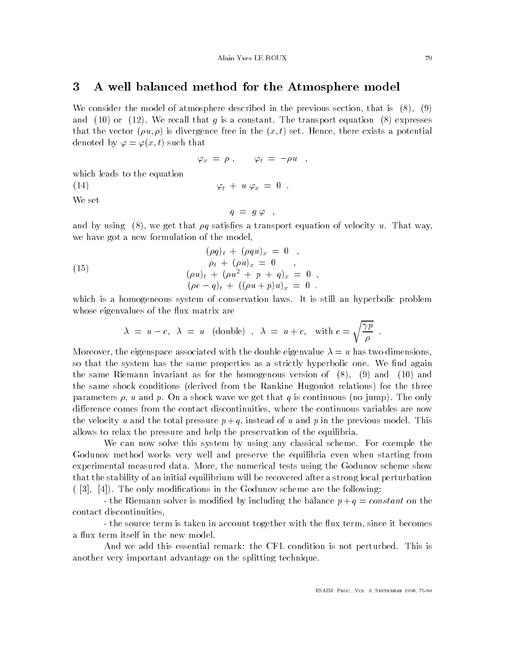### A well balanced method for the Atmosphere model

we consider the model of atmosphere described in the previous section, that is  $\{ \cdot \}$ and the transport equation is a constant of the transport equation is a constant of the transport equation is that the vector u is divergence free in the x t set Hence- there exists a potential denoted by  $\varphi = \varphi(x, t)$  such that

$$
\varphi_x = \rho \; , \qquad \varphi_t = -\rho u \quad , \qquad
$$

 $\varphi_t + u \varphi_x = 0$ .

which leads to the equation

 $(14)$ 

We set

$$
q = g \varphi ,
$$

and by using a transport equation of velocity using a transport equation of velocity using  $\mathcal{M}$ we have got a new formulation of the model,

(15) 
$$
(\rho q)_t + (\rho qu)_x = 0 ,
$$

$$
(\rho u)_t + (\rho u)_x = 0 ,
$$

$$
(\rho u)_t + (\rho u^2 + p + q)_x = 0 ,
$$

$$
(\rho e - q)_t + ((\rho u + p)u)_x = 0 .
$$

which is a homogeneous system of conservation laws system of conservation laws and the conservation laws of co whose eigenvalues of the flux matrix are

$$
\lambda = u - c, \lambda = u \quad \text{(double)} \quad , \lambda = u + c, \quad \text{with } c = \sqrt{\frac{\gamma p}{\rho}} \; .
$$

Moreover- the eigenspace associated with the double eigenvalue u has two dimensionsso that the system has the same properties as a strictly hyperbolic one and again. the same Riemann invariant as for the homogenous version of  $\mathbf{A} = \mathbf{A} \mathbf{A}$ the same shock conditions (derived from the Rankine Hugoniot relations) for the three parameters - under the only in the only in the only in the only in the only in the only in the only in the only in the only in the only in the only in the only in the only in the only in the only in the only in the only in dierence comes from the contact discontinuities- where the continuous variables are now the velocity understand pressure p in the pressure p in the previous model of u and p in the previous model  $\mu$ allows to relax the pressure and help the preservation of the equilibria

we can now solve this system by using any classical scheme of the classical scheme Godunov method works very well and preserve the equilibria even when starting from experimental measured data More- the numerical tests using the Godunov scheme show that the stability of an initial equilibrium will be recovered after a strong local perturbation  $\mathbf{1}$  - The only modications in the Godunov scheme are the following scheme are the following  $\mathbf{1}$ 

the Riemann solver is modified by including the balance  $p + q = constant$  on the contact discontinuities,

the source term is taken in account to the source it becomes the unit becomes  $\mathbf{u}$ a flux term itself in the new model.

And we add this essential remark
 the CFL condition is not perturbed This is another very important advantage on the splitting technique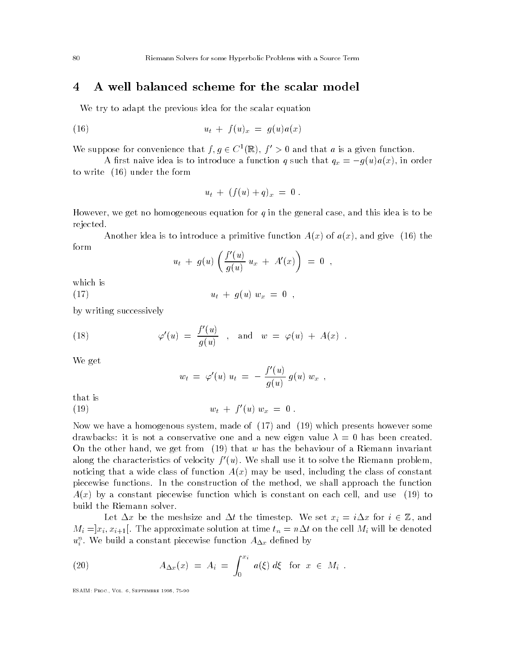#### A well balanced scheme for the scalar model 4

We try to adapt the previous idea for the scalar equation

$$
(16) \qquad \qquad u_t + f(u)_x = g(u)a(x)
$$

We suppose for convenience that  $f, g \in C^2(\mathbb{R})$ ,  $f > 0$  and that a is a given function.

A rest naive is to international control to international  $\gamma$  is that  $\gamma$  and  $\gamma$   $\gamma$  and  $\gamma$   $\gamma$   $\gamma$  is that  $\gamma$ to write  $(16)$  under the form

$$
u_t + (f(u) + q)_x = 0.
$$

However- we get no homogeneous equation for q in the general case- and this idea is to be rejected

Another idea is to introduce a primitive function  $A \cup I$  and  $A \cup I$  and  $A \cup I$ form

$$
u_t + g(u) \left( \frac{f'(u)}{g(u)} u_x + A'(x) \right) = 0 ,
$$

which is

 $(17)$  $u_t + q(u) w_x = 0$ ,

by writing successively

(18) 
$$
\varphi'(u) = \frac{f'(u)}{g(u)}
$$
, and  $w = \varphi(u) + A(x)$ .

We get

$$
w_t = \varphi'(u) \; u_t = - \; \frac{f'(u)}{g(u)} \; g(u) \; w_x \; \; ,
$$

that is

(19) 
$$
w_t + f'(u) w_x = 0.
$$

Now we have a homogenous system- made of and which presents however some drawbacks: it is not a conservative one and a new eigen value  $\lambda = 0$  has been created. On the other hand- we get from that w has the behaviour of a Riemann invariant along the characteristics of velocity  $f(u)$ . We shall use it to solve the Kiemann problem, noticing that a wide class of function Ax may be used- including the class of constant piecewise functions In the construction of the method- we shall approach the function axist a constant piecewise function which is constant on each cell-state only which is to analyze the constant build the Riemann solver

and the timester and times and timesters and the timesters  $\mathcal{L}_i$  , the timesters of  $\mathcal{L}_i$  and the time  $\mathcal{M} = \{ \mathcal{M} \mid \mathcal{M} \in \mathcal{M} \mid \mathcal{M} \neq \emptyset \}$  . The approximate solution at time the cell  $\mathcal{M} = \{ \mathcal{M} \mid \mathcal{M} \neq \emptyset \}$  . The denoted on the denoted on the denoted on the denoted on the denoted on the denoted on t  $u_i^\circ.$  we build a constant piecewise function  $A_{\Delta x}$  defined by

(20) 
$$
A_{\Delta x}(x) = A_i = \int_0^{x_i} a(\xi) d\xi
$$
 for  $x \in M_i$ .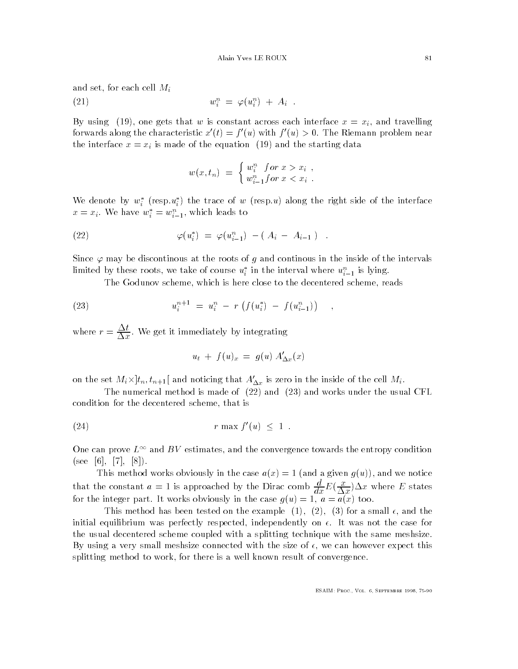and set-for each cell Microsoft cell Microsoft cell Microsoft cell Microsoft cell Microsoft cell Microsoft cel

$$
(21) \t\t\t w_i^n = \varphi(u_i^n) + A_i.
$$

By using - one gets that w is constant across each interface x xi- and travelling forwards along the characteristic  $x(t) = t(u)$  with  $f(u) > 0$ . The Riemann problem near the interface  $x \mapsto \frac{1}{2}$  is made of the equation  $\frac{1}{2}$  in and the starting data.

$$
w(x, t_n) = \begin{cases} w_i^n & \text{for } x > x_i ,\\ w_{i-1}^n & \text{for } x < x_i . \end{cases}
$$

We denote by  $w_i$  (resp. $u_i$ ) the trace of w (resp. $u_j$  along the right side of the interface ii $x = x_i$ . We have  $w_i = w_{i-1}$ , which leads to

(22) 
$$
\varphi(u_i^*) = \varphi(u_{i-1}^n) - (A_i - A_{i-1}) .
$$

Since  $\varphi$  may be discontinous at the roots of g and continous in the inside of the intervals iimited by these roots, we take of course  $u_i$  in the interval where  $u_{i-1}$  is fying.

The Godunov scheme- which is here close to the decentered scheme- reads

(23) 
$$
u_i^{n+1} = u_i^n - r \left( f(u_i^*) - f(u_{i-1}^n) \right) ,
$$

where  $r = \frac{1}{\sqrt{2\pi}}$ . We get it immediately by integrating

$$
u_t + f(u)_x = g(u) A'_{\Delta x}(x)
$$

on the set  $m_i$   $\chi$   $\mu_n$  ,  $\iota_{n+1}$  and noticing that  $A_{\Delta x}$  is zero in the inside of the cen  $m_i$ .

The numerical method is made of  $(22)$  and  $(23)$  and works under the usual CFL condition for the decentered scheme-decentered scheme-decentered scheme-decentered scheme-

$$
(24) \quad r \max f'(u) \leq 1 \; .
$$

One can prove  $L^{\infty}$  and  $BV$  estimates, and the convergence towards the entropy condition see - -

This method works obviously in the case ax and a given gu- and we notice that the constant  $a = 1$  is approached by the Dirac comb  $\frac{d}{dx}E(\frac{1}{\Delta x})\Delta x$  where E states for the integer part It works obviously in the case gu a ax too

This method has been tested on the example - - for a small - and the initial equilibrium was perfectly respected- independently on It was not the case for the usual decentered scheme coupled with a splitting technique with the same meshsize By using a very small meshsize connected with the size of - we can however expect this re there is a well converged to the convergence to work- is a well convergence of convergence of convergence o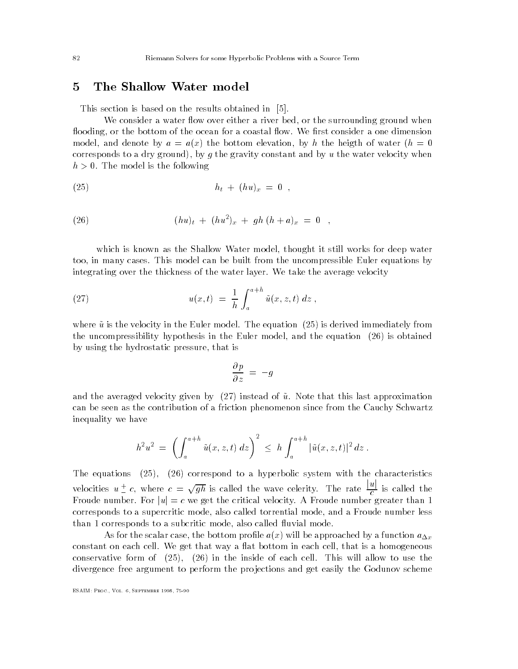### The Shallow Water model 5

This section is based on the results obtained in [5].

where consider a water when a visit to consider a river bed-constant ground when  $\alpha$ ooding-bottom of the bottom of the ocean for a coastal of the ocean for a coastal of the one dimensional of the o model-by and denote by a control and denote by the bottom electronic and water the height of water  $\mathbf{p}$ corresponds to a dry ground-dy of your gravity constant and by u the water velocity whenevelocity h - The model is the following

(25) 
$$
h_t + (hu)_x = 0,
$$

(26) 
$$
(hu)_t + (hu^2)_x + gh (h+a)_x = 0 ,
$$

which is those was the Shallow Water model-thought it still works for deep water the still works for to a in model cases to built from the uncompressible the uncompressible to a state in a strong to the uncompression integrating over the thickness of the water layer We take the average velocity

(27) 
$$
u(x,t) = \frac{1}{h} \int_{a}^{a+h} \tilde{u}(x,z,t) dz,
$$

where using in the velocity in the equation  $\mathbf{I}$  is derived in the equation  $\mathbf{I}$ the uncompressibility hypothesis in the Euler model- and the equation is obtained by using the hydrostatic pressure- that is

$$
\frac{\partial p}{\partial z} = -g
$$

and the averaged velocity given by  $\mathcal{N}$  instead of use that this last approximation  $\mathcal{N}$ can be seen as the contribution of a friction phenomenon since from the Cauchy Schwartz inequality we have

$$
h^2 u^2 = \left( \int_a^{a+h} \tilde{u}(x, z, t) \, dz \right)^2 \leq h \int_a^{a+h} |\tilde{u}(x, z, t)|^2 \, dz \; .
$$

The equations - correspond to a hyperbolic system with the characteristics velocities  $u \pm c$ , where  $c = \sqrt{gh}$  is called the wave celerity. The rate  $\frac{|u|}{c}$  is called the Froude number For juj c we get the critical velocity AFroude number greater than corresponds to a supercritic mode- also called torrential mode- and a Froude number less than corresponds to a subcritic mode- also called uvial mode

As for the scalar case- the bottom prole ax will be approached by a function ax constant on each cell We get that way a at bottom in each cell- that is a homogeneous  $\mathbf{1}$  in the installation of each cell allow to use the inside of each cell allow to use the inside of each cell divergence free argument to perform the projections and get easily the Godunov scheme

esant de la construction de la construction de la construction de la construction de la construction de la con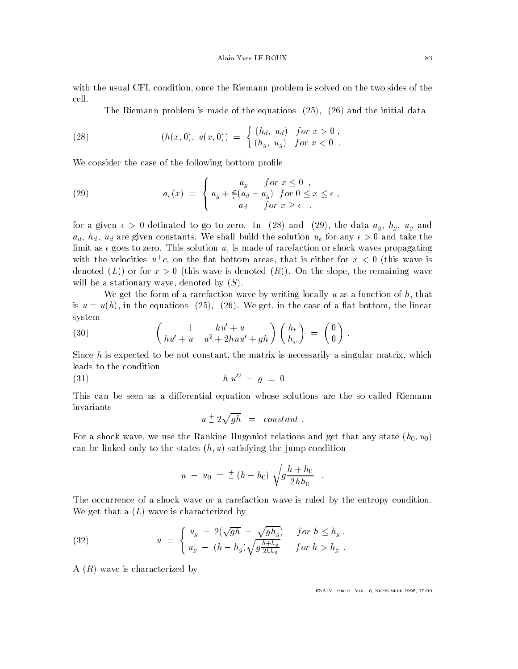with the usual CFL condition- once the Riemann problem is solved on the Riemann problem is solved on the two si cell.

The Riemann problem is made of the equations  $\mathcal{A} = \mathcal{A}$  and the initial data data data and

(28) 
$$
(h(x,0), u(x,0)) = \begin{cases} (h_d, u_d) & \text{for } x > 0, \\ (h_g, u_g) & \text{for } x < 0. \end{cases}
$$

We consider the case of the following bottom profile

(29) 
$$
a_{\epsilon}(x) = \begin{cases} a_g & \text{for } x \leq 0, \\ a_g + \frac{x}{\epsilon}(a_d - a_g) & \text{for } 0 \leq x \leq \epsilon, \\ a_d & \text{for } x \geq \epsilon. \end{cases}
$$

for a given to go to a given the data again to go to  $\alpha$  and  $\alpha$  and  $\alpha$  again to  $\alpha$ ad how shall build the solution uses the solution uses the solution use any solution uses the solution uses the limit as goes to zero This solution u- is made of rarefaction or shock waves propagating with the velocities  $u \_{c}$ , on the flat bottom areas, that is either for  $x <$  U (this wave is asses is a remain the slope-wave is slope-wave is a specific to the slopest contraction of wave to the remaining will be a stationary wave-by-based by Section and Section and Section and Section and Section and Section and

where  $\alpha$  rates the form of a rarefaction wave by writing the function wave by the function of  $\alpha$ is a control in the equations  $\mathbf{u} = \mathbf{v}$  , we can see the case of a strong case of a strong system

(30) 
$$
\begin{pmatrix} 1 & hu' + u \ hu' + u & h \end{pmatrix} \begin{pmatrix} h_t \\ h_x \end{pmatrix} = \begin{pmatrix} 0 \\ 0 \end{pmatrix}.
$$

Since h is expected to be not constant- the matrix is necessarily a singular matrix- which leads to the condition

(31) 
$$
h \; u'^2 - g = 0
$$

This can be seen as a differential equation whose solutions are the so called Riemann invariants

$$
u \stackrel{+}{=} 2\sqrt{gh} = constant.
$$

 $\begin{array}{ccc} \text{N} & \text{N} & \text{N} \end{array}$  we use the Rankine Hugoniot relations and get that any state has any state has any state has any state has any state has a state has any state has a state has a state has a state has a stat can be linked only to the states  $(h, u)$  satisfying the jump condition

$$
u - u_0 = \pm (h - h_0) \sqrt{g \frac{h + h_0}{2h h_0}}.
$$

 $\ddot{\phantom{a}}$ 

The occurrence of a shock wave or a rarefaction wave is ruled by the entropy condition We get that a  $(L)$  wave is characterized by

(32) 
$$
u = \begin{cases} u_g - 2(\sqrt{gh} - \sqrt{gh_g}) & \text{for } h \le h_g, \\ u_g - (h - h_g) \sqrt{g \frac{h + h_g}{2h h_g}} & \text{for } h > h_g. \end{cases}
$$

A  $(R)$  wave is characterized by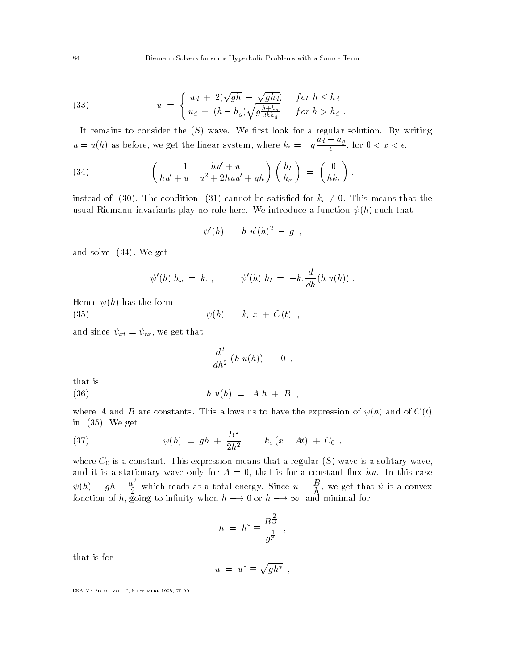(33) 
$$
u = \begin{cases} u_d + 2(\sqrt{gh} - \sqrt{gh_d}) & \text{for } h \le h_d, \\ u_d + (h - h_g) \sqrt{g \frac{h + h_d}{2hh_d}} & \text{for } h > h_d. \end{cases}
$$

It remains to consider the S wave We rst look for a regular solution By writing  $u = u(h)$  as before, we get the linear system, where  $k_{\epsilon} = -g \frac{du}{\epsilon} \frac{du}{dx}$ , for  $\epsilon$ ,  $\epsilon$ ,  $\epsilon$ ,  $\epsilon$ ,  $\epsilon$ ,  $\epsilon$ ,  $\epsilon$ ,  $\epsilon$ ,  $\epsilon$ ,  $\epsilon$ ,  $\epsilon$ ,  $\epsilon$ ,  $\epsilon$ ,  $\epsilon$ ,  $\epsilon$ ,  $\epsilon$ ,  $\epsilon$ ,  $\epsilon$ ,  $\epsilon$ ,  $\epsilon$ ,  $\epsilon$ ,  $\epsilon$ ,  $\epsilon$ ,  $\epsilon$ ,  $\epsilon$ ,  $\epsilon$ ,  $\epsilon$ ,  $\epsilon$ ,  $\epsilon$ ,  $\epsilon$ ,  $\epsilon$ ,  $\epsilon$ ,  $\epsilon$ ,  $\epsilon$ ,  $\epsilon$ ,  $\epsilon$ ,  $\epsilon$ ,

(34) 
$$
\begin{pmatrix} 1 & hu' + u \ hu' + u + gh \end{pmatrix} \begin{pmatrix} h_t \\ h_x \end{pmatrix} = \begin{pmatrix} 0 \\ hk_\epsilon \end{pmatrix}.
$$

instead of  $\{z \cdot \mu\}$  and condition  $\{ \varphi \, \varphi \}$  condition is k-differential for  $\mu$  ,  $\mu$  , and an exception for the satisfactor usual Riemann invariants play no role here We introduce a function h such that

$$
\psi'(h) = h \, u'(h)^2 - g \, ,
$$

and solve the solve and solve the solve selection of the solve selection of the solve selection of the solve o

$$
\psi'(h) h_x = k_{\epsilon} , \qquad \psi'(h) h_t = -k_{\epsilon} \frac{d}{dh} (h u(h)) .
$$

Hence  $\psi(h)$  has the form

 $\mathbf{v} = \mathbf{v}$ 

 $\mathcal{L}$  . The since the since  $\mathcal{L}$  and  $\mathcal{L}$  are given that the since  $\mathcal{L}$ 

$$
\frac{d^2}{dh^2} \; (h\,\, u(h)) \; = \; 0 \;\; , \qquad
$$

that is

$$
(36) \qquad \qquad h \ u(h) = A \ h + B \ ,
$$

where A and B are constants the expression of the expression of the expression of  $\mathbb{R}$  and of Ctrick and of Ctrick and of Ctrick and of Ctrick and of Ctrick and of Ctrick and of Ctrick and of Ctrick and of Ctrick and O in a week and a week and a week and a week and a week and a week and a week and a week and a week and a week a  $\overline{a}$ 

(37) 
$$
\psi(h) \equiv gh + \frac{B^2}{2h^2} = k_{\epsilon}(x - At) + C_0,
$$

where C is a constant  $\alpha$  is a regular S wave-formular S wave-formular S wave-formular S wave-formular S waveand it is a stationary wave only for a constant  $\mathbf{r}$  is for a constant unit  $\mathbf{r}$  $\psi(h) = gh + \frac{u}{2}$  which reads as a total energy. Since  $u = \frac{B}{h}$ , we get that  $\psi$  is a convex fonction of h- going to innity when h or h - and minimal for

$$
h = h^* \equiv \frac{B^{\frac{2}{3}}}{g^{\frac{1}{3}}},
$$

that is for

$$
u = u^* \equiv \sqrt{gh^*} ,
$$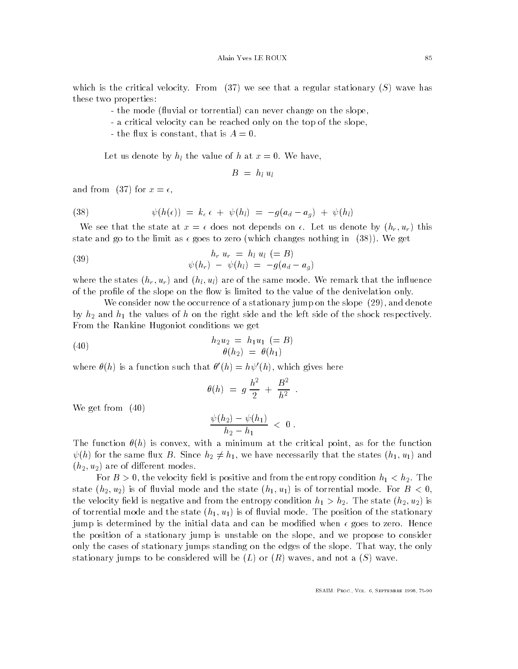which is the critical velocity of the critical velocity  $\mathcal{N}$  wave has regular stationary S wave has a regular stationary S wave has a regular stationary S wave has a regular stationary S wave has a regular stationary S these two properties

- the mode (fluvial or torrential) can never change on the slope.
- a critical velocity can be reached only on the top of the slope.
- the constant constant is a constant of the constant of the constant of the constant of the constant of the constant of the constant of the constant of the constant of the constant of the constant of the constant of the con

Let us denote by hl the value of <sup>h</sup> at <sup>x</sup> We have-

$$
B = h_l u_l
$$

and from (37) for  $x = \epsilon$ ,

(38) 
$$
\psi(h(\epsilon)) = k_{\epsilon} \epsilon + \psi(h_l) = -g(a_d - a_g) + \psi(h_l)
$$

we see that the state at  $\alpha$  . I does not depends on the methods of us diply half the state state and go to the limit as goes to zero which changes nothing in We get

(39) 
$$
h_r u_r = h_l u_l (=B) \n\psi(h_r) - \psi(h_l) = -g(a_d - a_g)
$$

where the states hr ur and he same that is not same model in the same model that the same model is the interest of the profile of the slope on the flow is limited to the value of the denivelation only.

We consider now the occurrence of a stationary jump on the slope - and denote by  $h_2$  and  $h_1$  the values of h on the right side and the left side of the shock respectively. From the Rankine Hugoniot conditions we get

(40) 
$$
h_2 u_2 = h_1 u_1 \ (=B) \n\theta(h_2) = \theta(h_1)
$$

where  $\sigma(n)$  is a function such that  $\sigma(n) = n\psi(n)$ , which gives here

$$
\theta(h) = g \frac{h^2}{2} + \frac{B^2}{h^2} .
$$

We get from  $(40)$ 

$$
\frac{\psi(h_2)-\psi(h_1)}{h_2-h_1} \; < \; 0 \; .
$$

. The function is the function of the convenience at the function points, we fire the function  $\mathcal{L}^{(n)}$  $\begin{array}{ccc} \hline \text{if } & \text{if } & \text{if } & \text{if } & \text{if } & \text{if } & \text{if } & \text{if } & \text{if } & \text{if } & \text{if } & \text{if } & \text{if } & \text{if } & \text{if } & \text{if } & \text{if } & \text{if } & \text{if } & \text{if } & \text{if } & \text{if } & \text{if } & \text{if } & \text{if } & \text{if } & \text{if } & \text{if } & \text{if } & \text{if } & \text{if } & \text{if } & \text{if } & \text{if } & \text{if } &$  $(h_2, u_2)$  are of different modes.

For B - - the velocity eld is positive and from the entropy condition h h The  $\left\{ \begin{array}{ccc} 1 & 1 & 1 \end{array} \right.$ the velocity elder is negative and from the entropy condition his state here here  $\chi$  is  $\chi$  is  $\chi$ of torrent modern the state h unity  $\{v_1\}$  and the stations of the state h unit of the state modern  $j$ jump is determined by the initial data and can be modied when goes to zero Hence the position of a stationary jump is unstable on the slope- and we propose to consider only the cases of stationary jumps stationary on the edges of the slopet of the slope that  $\sim$ stationary jumps to be considered with be considered with a series of the L or R waves-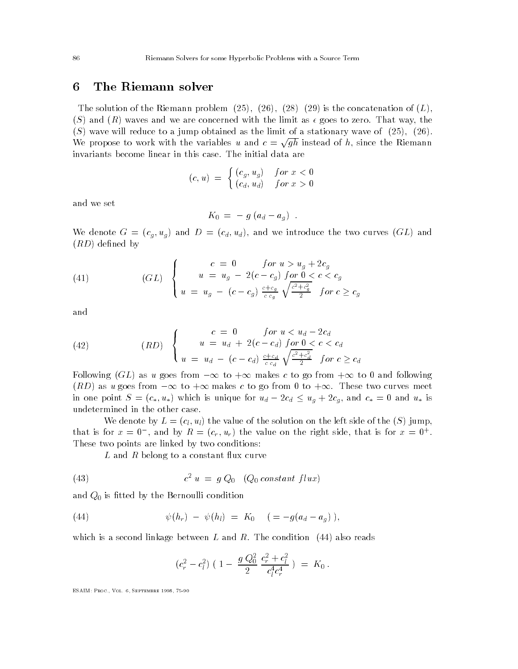### The Riemann solver 6

The solution of the Riemann problem - - is the concatenation of L-S and R waves and we are concerned with the limit as goes to zero That way- the  $S$  we are with the limit of a stationary obtained as the limit of a stationary wave of  $S$  ,  $\mathcal{S}$  ,  $\mathcal{S}$ We propose to work with the variables u and  $c = \sqrt{qh}$  instead of h, since the Riemann

$$
(c, u) = \begin{cases} (c_g, u_g) & \text{for } x < 0 \\ (c_d, u_d) & \text{for } x > 0 \end{cases}
$$

and we set

$$
K_0 = - g (a_d - a_g) .
$$

We denote G and D candidates GL and We introduce the two curves  $\mathcal{N} = \mathcal{N}$  $(RD)$  defined by

(41) 
$$
(GL) \begin{cases} c = 0 & \text{for } u > u_g + 2c_g \\ u = u_g - 2(c - c_g) & \text{for } 0 < c < c_g \\ u = u_g - (c - c_g) & \frac{c + c_g}{c c_g} \sqrt{\frac{c^2 + c_g^2}{2}} & \text{for } c \ge c_g \end{cases}
$$

and

(42) 
$$
(RD) \begin{cases} c = 0 & \text{for } u < u_d - 2c_d \\ u = u_d + 2(c - c_d) & \text{for } 0 < c < c_d \\ u = u_d - (c - c_d) & \frac{c + c_d}{c - c_d} \sqrt{\frac{c^2 + c_d^2}{2}} & \text{for } c \ge c_d \end{cases}
$$

Following GL as u goes from to makes c to go from to and following re to as used to the total control of the second to the control of the second the second theory of the second in one point S c- u- which is unique for ud cd ug cg- and c- and u- is undetermined in the other case

We denote by  $L = (c_l, u_l)$  the value of the solution on the left side of the  $(S)$  jump. that is for  $x = 0$ , and by  $K = (c_r, u_r)$  the value on the right side, that is for  $x = 0$ . These two points are linked by two conditions

 $L$  and  $R$  belong to a constant flux curve

(43) 
$$
c^2 u = g Q_0 \quad (Q_0 \text{ constant flux})
$$

and  $Q_0$  is fitted by the Bernoulli condition

(44) 
$$
\psi(h_r) - \psi(h_l) = K_0 \quad ( = -g(a_d - a_g)),
$$

which is a second linkage between L and R and R and R and R and R and R and R and R and R and R and R and R and R and R and R and R and R and R and R and R and R and R and R and R and R and R and R and R and R and R and R

$$
(c_r^2 - c_l^2) (1 - \frac{g Q_0^2}{2} \frac{c_r^2 + c_l^2}{c_l^4 c_r^4}) = K_0.
$$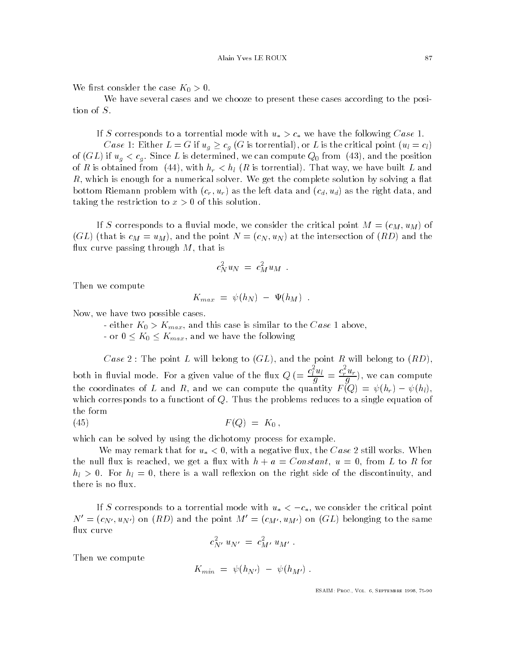where  $\mathbf{v}$  is the case  $\mathbf{v}$  -case  $\mathbf{v}$  -case  $\mathbf{v}$  -case  $\mathbf{v}$ 

We have several cases and we chooze to present these cases according to the posi tion of S

if s corresponds to a torrential model with up to a torrelate continuity with u-

case is control to called the case of the controller controller that the critical point  $\{v_0,\ldots,v_{d-1}\}$ of GL if ug cg Since L is determined- we can compute Q from - and the position of R is obtained from a state of the state of the state of the state of the state of the state of the state of red which is enough for a numerical solver when the get the complete solving solving a mate bottom Riemann problem with critical and contract data and contract data and contract data-bottom data-bottom d taking the restriction to this solution to x - this solution to x - this solution to x - this solution to x -

a we correspond to a model model with consideration and consider the constant  $\mathbb{P}^1(M)$  and  $\mathbb{P}^1$  $\mathcal{A} = \mathcal{A}$  is computed intersection of  $\mathcal{A}$  and the intersection of  $\mathcal{A}$ us curve passing through the islamic order

$$
c_N^2 u_N = c_M^2 u_M .
$$

Then we compute

$$
K_{max} = \psi(h_N) - \Psi(h_M) .
$$

Now- we have two possible cases

either  $\mathbf{w}$  - and this case is similar to the Case is similar to the Case is similar to the Case is similar to the Case is similar to the Case is similar to the Case is similar to the Case is similar to the Case is si

or K Kmax- and we have the following

Case II will be point R will be point R will be point R will be point R will be point R will be point R will be both in fluvial mode. For a given value of the flux  $Q = \frac{c_1^T u_l}{q} = \frac{c_r^T u_r}{q}$ , we can compute  $\mathbf{r}$  and  $\mathbf{r}$  and  $\mathbf{r}$  and  $\mathbf{r}$  and  $\mathbf{r}$  and  $\mathbf{r}$  and  $\mathbf{r}$  and  $\mathbf{r}$ which corresponds to a function of  $\mathbf{u}$ the form

$$
(45) \t\t\t F(Q) = K_0,
$$

which can be solved by using the dichotomy process for example

with the common that for use of using a negative contribution of the Case of the Case of the Case of the Case o the null ux is reached- we get a ux with h a Constant u - from L to R for help - the state is a wall restriction of the right side of the right side of the side of the discontinuity-the discontinuitythere is no flux.

a to a torrespond the corresponding model with u-with u-with u-with u-with u-with u-with critical points.  $N' = (c_{N'}, u_{N'})$  on  $(RD)$  and the point  $M' = (c_{M'}, u_{M'})$  on  $(GL)$  belonging to the same flux curve

$$
c_{N'}^2\ u_{N'}\ =\ c_{M'}^2\ u_{M'}\ .
$$

Then we compute

$$
K_{min} = \psi(h_{N'}) - \psi(h_{M'}) .
$$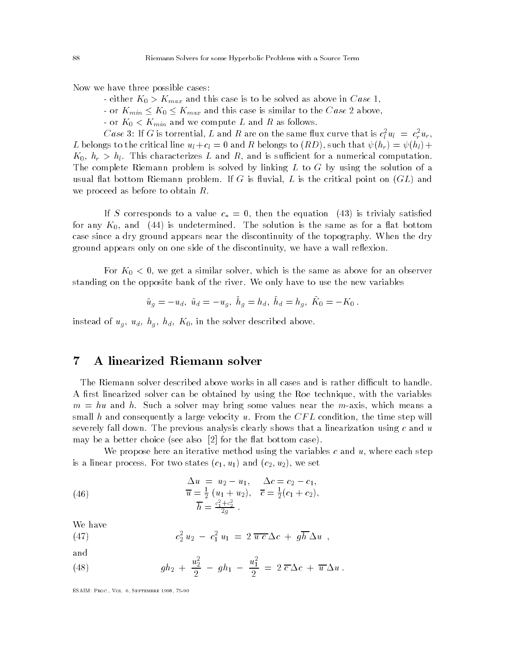Now we have three possible cases

- $\mathbf{v}$  Moutube is to be solved as above in Case to be solved as above in Case to be solved as above in Case to be solved as above in Case to be so that the solved as above in Case to be solved as above in Ca
- $\alpha$  . This case is the case is similar to this case  $\alpha$  and  $\alpha$  above  $\alpha$  above  $\alpha$
- or  $K_0 < K_{min}$  and we compute L and R as follows.

Case 5: If G is torrential, L and R are on the same nux curve that is  $c_l$   $u_l$   $=$   $\,c_r u_r,$  $\ddot{\phantom{1}}$ Let be consider the critical line ultimate the contraction of  $\mathcal{L}_\mathcal{A}$  and  $\mathcal{L}_\mathcal{A}$  . In that  $\mathcal{L}_\mathcal{A}$  is an order to  $\mathcal{L}_\mathcal{A}$  is an order to  $\mathcal{L}_\mathcal{A}$  is an order to  $\mathcal{L}_\mathcal{A}$  is an orde r - Ul and is such an order that computer the computation for a numerical computations are computations of The complete Riemann problem is solved by linking  $L$  to  $G$  by using the solution of a usual at both contract the critical contract of the critical point on  $\mathcal{C}$  is the critical point of  $\mathcal{C}$ we proceed as before to obtain  $R$ .

if S corresponds to a value component corresponding to the equation  $\mathcal{L}$ for any K-UI and III is understanding the same assessed in the same as for a form is the same as for case since a dry ground appears near the discontinuity of the discontinuity of the topography of the dry discontinuity of the dry discontinuity of the dry discontinuity of the dry discontinuity of the dry discontinuity of ground appears only on one side of the discontinuity, we have a wall resource.

 $\mathsf{v}$  in  $\alpha$  similar solver-the same as above for an observered for an observer for an observer  $\alpha$ standing on the opposite bank of the river We only have to use the new variables

$$
\tilde{u}_g = -u_d, \; \tilde{u}_d = -u_g, \; \dot{h}_g = h_d, \; \dot{h}_d = h_g, \; \tilde{K}_0 = -K_0 \; .
$$

instead of the solver described above the solver described above the solver

### A linearized Riemann solver 7

The Riemann solver described above works in all cases and is rather difficult to handle.  $\mathcal{A}$  return can be obtained by using the variables the variables the variables the variables the variables the variables the variables the variables the variables the variables the variables the variables the variable m and hu and hu and hu and hu and hu and hu and hu and hu and hu and hu and hu and hu and hu and hu and hu and small hand consequently a large velocity at the condition-condition-condition-conditionseverely fall down The previous analysis clearly shows that a linearization using c and u may be a better choice (see also  $\lceil 2 \rceil$  for the flat bottom case).

where propose here and iterative method using the variables c and u-p where c and u-p and u-p is a linear processes and contract we set that the contract we set the contract of the contract of the contract of the contract of the contract of the contract of the contract of the contract of the contract of the contrac

(46) 
$$
\begin{aligned}\n\Delta u &= u_2 - u_1, & \Delta c &= c_2 - c_1, \\
\overline{u} &= \frac{1}{2} (u_1 + u_2), & \overline{c} &= \frac{1}{2} (c_1 + c_2), \\
\overline{h} &= \frac{c_1^2 + c_2^2}{2g}.\n\end{aligned}
$$

We have

(47) 
$$
c_2^2 u_2 - c_1^2 u_1 = 2 \overline{u c} \Delta c + g \overline{h} \Delta u ,
$$

and

(48) 
$$
gh_2 + \frac{u_2^2}{2} - gh_1 - \frac{u_1^2}{2} = 2 \overline{c} \Delta c + \overline{u} \Delta u.
$$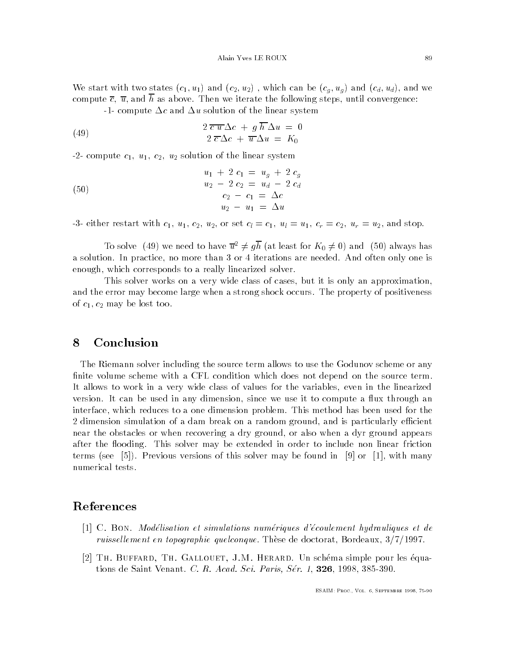where we start with the contract with constant  $\mathcal{N}(u)$  and  $\mathcal{N}(u)$  and  $\mathcal{N}(u)$  and contract with  $\mathcal{N}(u)$ compute c u and <sup>h</sup> as above Then we iterate the following steps- until convergence

-1- compute  $\Delta c$  and  $\Delta u$  solution of the linear system

(49) 
$$
2 \overline{c u} \Delta c + g \overline{h} \Delta u = 0
$$

$$
2 \overline{c} \Delta c + \overline{u} \Delta u = K_0
$$

-2- compute  $c_1$ ,  $u_1$ ,  $c_2$ ,  $u_2$  solution of the linear system

(50)  

$$
u_1 + 2 c_1 = u_g + 2 c_g
$$

$$
u_2 - 2 c_2 = u_d - 2 c_d
$$

$$
c_2 - c_1 = \Delta c
$$

$$
u_2 - u_1 = \Delta u
$$

either restart with c use constants with c understanding and stopped and stopped and stopped and stopped and s

To solve (49) we need to have  $\overline{u}^2 \neq g\overline{h}$  (at least for  $K_0 \neq 0$ ) and (50) always has a solution In practice- no more than or iterations are needed And often only one is enough-to-corresponds to a really linearized solver to a really linearized solver to a really linearized solve

This solver works on a very wide class of cases- but it is only an approximationand the error may become large when a strong shock occurs The property of positiveness of  $c_1, c_2$  may be lost too.

### 8 Conclusion

The Riemann solver including the source term allows to use the Godunov scheme or any finite volume scheme with a CFL condition which does not depend on the source term. It allows to work in a very wide class of values for the variables- even in the linearized version in any art were not any dimension-interest and the weappart of money and a spectrum interface, which reduces to a one dimension problem. This method dimension and the second dimension simulation simulation of a dam break on a random ground-dimension  $\mathcal{A}$ near the obstacles or when recovering a dry ground- or also when a dyr ground appears after the matches  $\pi$  be extended in order to include in order to include in order to include  $\pi$ terms see Previous versions of this solver may be found in or - with many numerical tests

### References

- C Bon Modelisation et simulations numeriques d-ecoulement hydrauliques et de ruissel lement en topographie quelconque These de doctorat- Bordeaux-
- Th Buffard- Th Gallouet- JM Herard Un sch ema simple pour les equa tions de Saint Venant C R Acad Sci Paris Ser - -- -